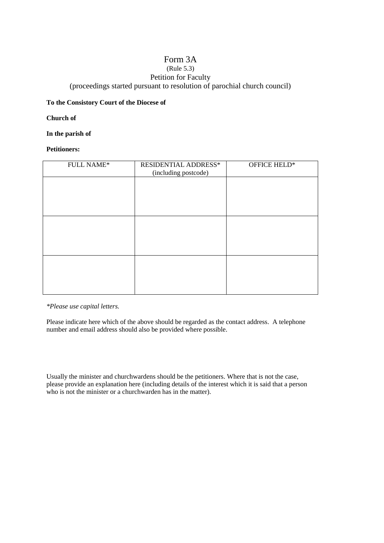## Form 3A

# (Rule 5.3)

Petition for Faculty

(proceedings started pursuant to resolution of parochial church council)

### **To the Consistory Court of the Diocese of**

## **Church of**

**In the parish of**

## **Petitioners:**

| <b>FULL NAME*</b> | RESIDENTIAL ADDRESS*<br>(including postcode) | OFFICE HELD* |
|-------------------|----------------------------------------------|--------------|
|                   |                                              |              |
|                   |                                              |              |
|                   |                                              |              |
|                   |                                              |              |
|                   |                                              |              |
|                   |                                              |              |

*\*Please use capital letters.*

Please indicate here which of the above should be regarded as the contact address. A telephone number and email address should also be provided where possible.

Usually the minister and churchwardens should be the petitioners. Where that is not the case, please provide an explanation here (including details of the interest which it is said that a person who is not the minister or a churchwarden has in the matter).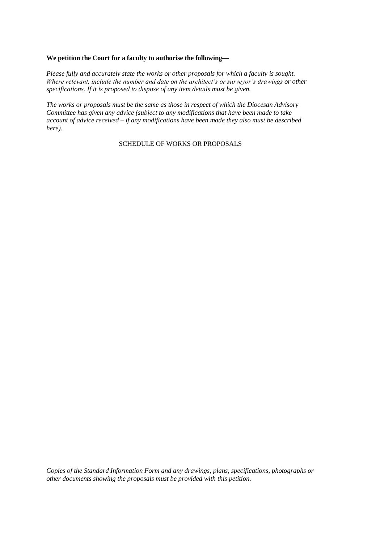#### **We petition the Court for a faculty to authorise the following—**

*Please fully and accurately state the works or other proposals for which a faculty is sought. Where relevant, include the number and date on the architect's or surveyor's drawings or other specifications. If it is proposed to dispose of any item details must be given.*

*The works or proposals must be the same as those in respect of which the Diocesan Advisory Committee has given any advice (subject to any modifications that have been made to take account of advice received – if any modifications have been made they also must be described here).*

SCHEDULE OF WORKS OR PROPOSALS

*Copies of the Standard Information Form and any drawings, plans, specifications, photographs or other documents showing the proposals must be provided with this petition.*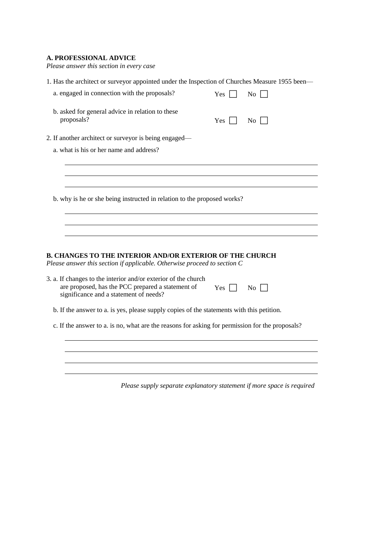## **A. PROFESSIONAL ADVICE**

*Please answer this section in every case*

| 1. Has the architect or surveyor appointed under the Inspection of Churches Measure 1955 been—                                                                |                       |                    |
|---------------------------------------------------------------------------------------------------------------------------------------------------------------|-----------------------|--------------------|
| a. engaged in connection with the proposals?                                                                                                                  | Yes $\lceil$          | $\overline{N_{0}}$ |
| b. asked for general advice in relation to these<br>proposals?                                                                                                | $Yes$ $\vert$ $\vert$ | $\overline{N_0}$   |
| 2. If another architect or surveyor is being engaged—                                                                                                         |                       |                    |
| a. what is his or her name and address?                                                                                                                       |                       |                    |
|                                                                                                                                                               |                       |                    |
| b. why is he or she being instructed in relation to the proposed works?                                                                                       |                       |                    |
|                                                                                                                                                               |                       |                    |
| <b>B. CHANGES TO THE INTERIOR AND/OR EXTERIOR OF THE CHURCH</b><br>Please answer this section if applicable. Otherwise proceed to section C                   |                       |                    |
| 3. a. If changes to the interior and/or exterior of the church<br>are proposed, has the PCC prepared a statement of<br>significance and a statement of needs? | $Yes \Box$            | $\rm{No}$          |
| b. If the answer to a. is yes, please supply copies of the statements with this petition.                                                                     |                       |                    |
| c. If the answer to a. is no, what are the reasons for asking for permission for the proposals?                                                               |                       |                    |
|                                                                                                                                                               |                       |                    |
|                                                                                                                                                               |                       |                    |
|                                                                                                                                                               |                       |                    |

*Please supply separate explanatory statement if more space is required*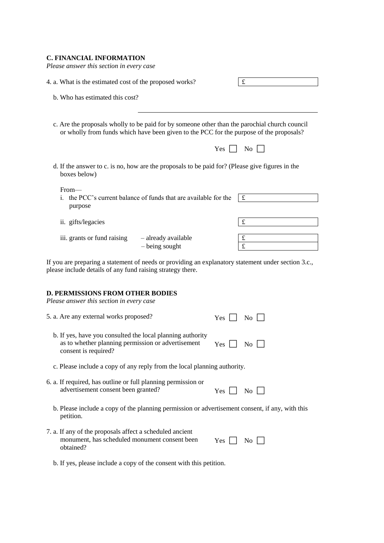#### **C. FINANCIAL INFORMATION**

| Please answer this section in every case                |                                                                                                                                                                                          |        |
|---------------------------------------------------------|------------------------------------------------------------------------------------------------------------------------------------------------------------------------------------------|--------|
| 4. a. What is the estimated cost of the proposed works? |                                                                                                                                                                                          | £      |
| b. Who has estimated this cost?                         |                                                                                                                                                                                          |        |
|                                                         | c. Are the proposals wholly to be paid for by someone other than the parochial church council<br>or wholly from funds which have been given to the PCC for the purpose of the proposals? |        |
|                                                         | Yes                                                                                                                                                                                      | No     |
| boxes below)                                            | d. If the answer to c. is no, how are the proposals to be paid for? (Please give figures in the                                                                                          |        |
| From—<br>purpose                                        | i. the PCC's current balance of funds that are available for the                                                                                                                         | £      |
| ii. gifts/legacies                                      |                                                                                                                                                                                          | £      |
| iii. grants or fund raising                             | - already available<br>- being sought                                                                                                                                                    | £<br>£ |
|                                                         |                                                                                                                                                                                          |        |

If you are preparing a statement of needs or providing an explanatory statement under section 3.c., please include details of any fund raising strategy there.

#### **D. PERMISSIONS FROM OTHER BODIES**

*Please answer this section in every case*

| 5. a. Are any external works proposed? | Yes $\Box$ No $\Box$ |
|----------------------------------------|----------------------|
|                                        |                      |

| b. If yes, have you consulted the local planning authority |                |  |
|------------------------------------------------------------|----------------|--|
| as to whether planning permission or advertisement         | $Yes \tNo \tN$ |  |
| consent is required?                                       |                |  |

c. Please include a copy of any reply from the local planning authority.

6. a. If required, has outline or full planning permission or advertisement consent been granted?

| . .<br>٠ |  |  |
|----------|--|--|

- b. Please include a copy of the planning permission or advertisement consent, if any, with this petition.
- 7. a. If any of the proposals affect a scheduled ancient monument, has scheduled monument consent been obtained? Yes  $\Box$  No  $\Box$

b. If yes, please include a copy of the consent with this petition.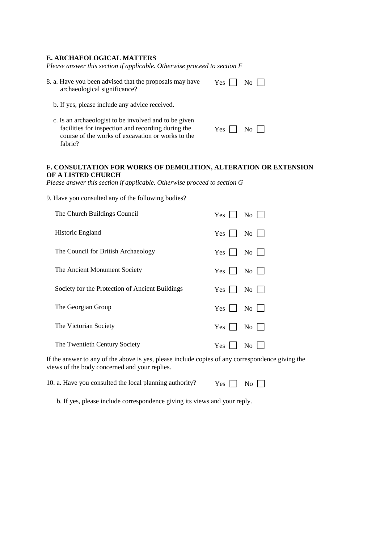#### **E. ARCHAEOLOGICAL MATTERS**

*Please answer this section if applicable. Otherwise proceed to section F*

| 8. a. Have you been advised that the proposals may have | Yes $\Box$ No $\Box$ |
|---------------------------------------------------------|----------------------|
| archaeological significance?                            |                      |

- b. If yes, please include any advice received.
- c. Is an archaeologist to be involved and to be given facilities for inspection and recording during the course of the works of excavation or works to the fabric?

| w<br>٠ |  |  |
|--------|--|--|
|--------|--|--|

#### **F. CONSULTATION FOR WORKS OF DEMOLITION, ALTERATION OR EXTENSION OF A LISTED CHURCH**

*Please answer this section if applicable. Otherwise proceed to section G*

9. Have you consulted any of the following bodies?

| The Church Buildings Council                    | <b>Yes</b><br>No.            |
|-------------------------------------------------|------------------------------|
| Historic England                                | Yes 1<br>$\rm{No}$           |
| The Council for British Archaeology             | Yes<br>No                    |
| The Ancient Monument Society                    | Yes<br>No.                   |
| Society for the Protection of Ancient Buildings | $Yes \mid$<br>No.            |
| The Georgian Group                              | Yes<br>No                    |
| The Victorian Society                           | <b>Yes</b><br>N <sub>0</sub> |
| The Twentieth Century Society                   | Yes<br>No                    |

If the answer to any of the above is yes, please include copies of any correspondence giving the views of the body concerned and your replies.

10. a. Have you consulted the local planning authority?  $Y_{\text{es}} \cap N_0 \cap$ 

b. If yes, please include correspondence giving its views and your reply.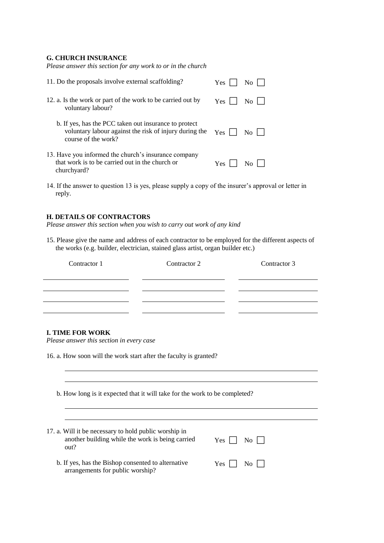#### **G. CHURCH INSURANCE**

| Please answer this section for any work to or in the church                                                                            |                           |
|----------------------------------------------------------------------------------------------------------------------------------------|---------------------------|
| 11. Do the proposals involve external scaffolding?                                                                                     | Yes<br>No 1               |
| 12. a. Is the work or part of the work to be carried out by<br>voluntary labour?                                                       | Yes<br>$\overline{N_{O}}$ |
| b. If yes, has the PCC taken out insurance to protect<br>voluntary labour against the risk of injury during the<br>course of the work? | Yes<br>No <sub>1</sub>    |
| 13. Have you informed the church's insurance company<br>that work is to be carried out in the church or<br>churchyard?                 | Yes.                      |

14. If the answer to question 13 is yes, please supply a copy of the insurer's approval or letter in reply.

#### **H. DETAILS OF CONTRACTORS**

*Please answer this section when you wish to carry out work of any kind*

15. Please give the name and address of each contractor to be employed for the different aspects of the works (e.g. builder, electrician, stained glass artist, organ builder etc.)

| Contractor 1                                                                                                      | Contractor 2                                                               | Contractor 3 |
|-------------------------------------------------------------------------------------------------------------------|----------------------------------------------------------------------------|--------------|
|                                                                                                                   |                                                                            |              |
|                                                                                                                   |                                                                            |              |
|                                                                                                                   |                                                                            |              |
|                                                                                                                   |                                                                            |              |
| <b>I. TIME FOR WORK</b><br>Please answer this section in every case                                               |                                                                            |              |
| 16. a. How soon will the work start after the faculty is granted?                                                 |                                                                            |              |
|                                                                                                                   |                                                                            |              |
|                                                                                                                   |                                                                            |              |
|                                                                                                                   | b. How long is it expected that it will take for the work to be completed? |              |
|                                                                                                                   |                                                                            |              |
|                                                                                                                   |                                                                            |              |
| 17. a. Will it be necessary to hold public worship in<br>another building while the work is being carried<br>out? | Yes                                                                        | No.          |

| b. If yes, has the Bishop consented to alternative | $Yes \n\Box No \n\Box$ |
|----------------------------------------------------|------------------------|
| arrangements for public worship?                   |                        |